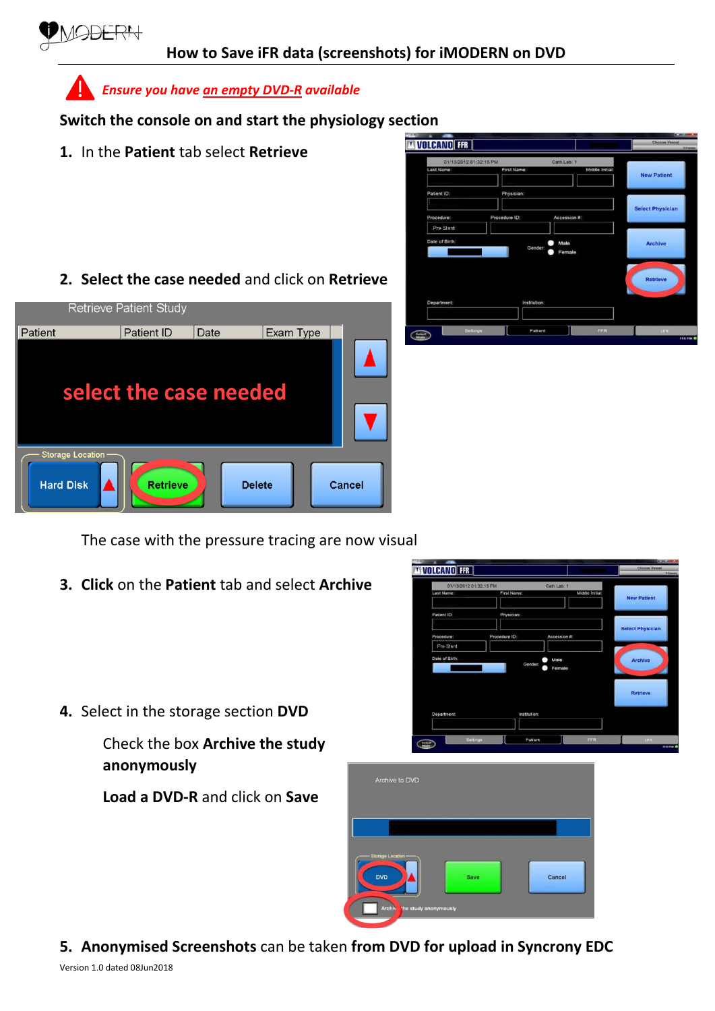

**Switch the console on and start the physiology section**

**1.** In the **Patient** tab select **Retrieve**



**2. Select the case needed** and click on **Retrieve**



The case with the pressure tracing are now visual

**3. Click** on the **Patient** tab and select **Archive**



**4.** Select in the storage section **DVD**

Check the box **Archive the study anonymously**

**Load a DVD-R** and click on **Save**



**5. Anonymised Screenshots** can be taken **from DVD for upload in Syncrony EDC**